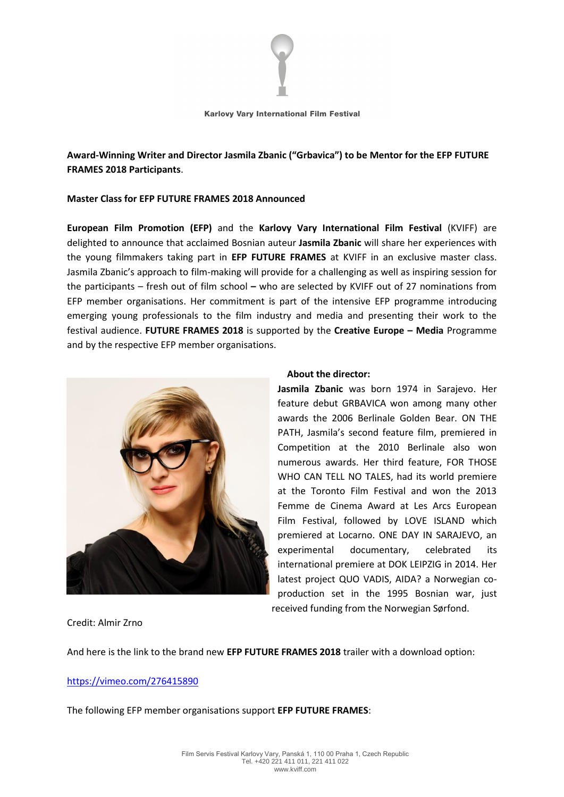

#### Karlovy Vary International Film Festival

**Award-Winning Writer and Director Jasmila Zbanic ("Grbavica") to be Mentor for the EFP FUTURE FRAMES 2018 Participants**.

# **Master Class for EFP FUTURE FRAMES 2018 Announced**

**European Film Promotion (EFP)** and the **Karlovy Vary International Film Festival** (KVIFF) are delighted to announce that acclaimed Bosnian auteur **Jasmila Zbanic** will share her experiences with the young filmmakers taking part in **EFP FUTURE FRAMES** at KVIFF in an exclusive master class. Jasmila Zbanic's approach to film-making will provide for a challenging as well as inspiring session for the participants – fresh out of film school **–** who are selected by KVIFF out of 27 nominations from EFP member organisations. Her commitment is part of the intensive EFP programme introducing emerging young professionals to the film industry and media and presenting their work to the festival audience. **FUTURE FRAMES 2018** is supported by the **Creative Europe – Media** Programme and by the respective EFP member organisations.



#### **About the director:**

**Jasmila Zbanic** was born 1974 in Sarajevo. Her feature debut GRBAVICA won among many other awards the 2006 Berlinale Golden Bear. ON THE PATH, Jasmila's second feature film, premiered in Competition at the 2010 Berlinale also won numerous awards. Her third feature, FOR THOSE WHO CAN TELL NO TALES, had its world premiere at the Toronto Film Festival and won the 2013 Femme de Cinema Award at Les Arcs European Film Festival, followed by LOVE ISLAND which premiered at Locarno. ONE DAY IN SARAJEVO, an experimental documentary, celebrated its international premiere at DOK LEIPZIG in 2014. Her latest project QUO VADIS, AIDA? a Norwegian coproduction set in the 1995 Bosnian war, just received funding from the Norwegian Sørfond.

Credit: Almir Zrno

And here is the link to the brand new **EFP FUTURE FRAMES 2018** trailer with a download option:

# <https://vimeo.com/276415890>

The following EFP member organisations support **EFP FUTURE FRAMES**: